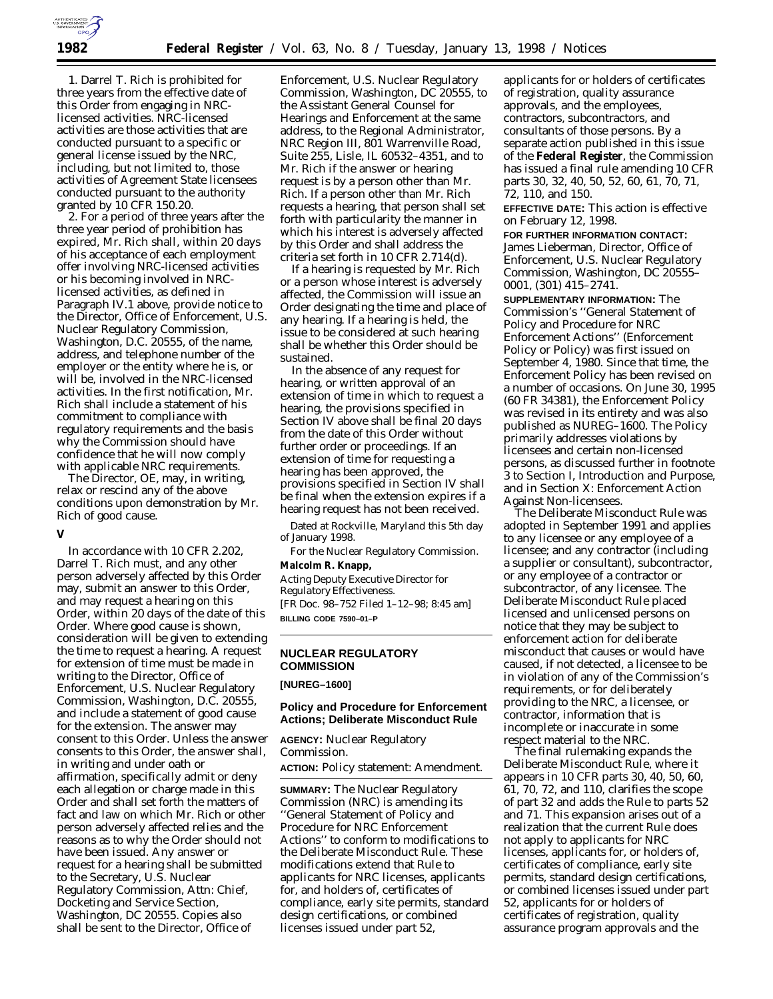

1. Darrel T. Rich is prohibited for three years from the effective date of this Order from engaging in NRClicensed activities. NRC-licensed activities are those activities that are conducted pursuant to a specific or general license issued by the NRC, including, but not limited to, those activities of Agreement State licensees conducted pursuant to the authority granted by 10 CFR 150.20.

2. For a period of three years after the three year period of prohibition has expired, Mr. Rich shall, within 20 days of his acceptance of each employment offer involving NRC-licensed activities or his becoming involved in NRClicensed activities, as defined in Paragraph IV.1 above, provide notice to the Director, Office of Enforcement, U.S. Nuclear Regulatory Commission, Washington, D.C. 20555, of the name, address, and telephone number of the employer or the entity where he is, or will be, involved in the NRC-licensed activities. In the first notification, Mr. Rich shall include a statement of his commitment to compliance with regulatory requirements and the basis why the Commission should have confidence that he will now comply with applicable NRC requirements.

The Director, OE, may, in writing, relax or rescind any of the above conditions upon demonstration by Mr. Rich of good cause.

# **V**

In accordance with 10 CFR 2.202, Darrel T. Rich must, and any other person adversely affected by this Order may, submit an answer to this Order, and may request a hearing on this Order, within 20 days of the date of this Order. Where good cause is shown, consideration will be given to extending the time to request a hearing. A request for extension of time must be made in writing to the Director, Office of Enforcement, U.S. Nuclear Regulatory Commission, Washington, D.C. 20555, and include a statement of good cause for the extension. The answer may consent to this Order. Unless the answer consents to this Order, the answer shall, in writing and under oath or affirmation, specifically admit or deny each allegation or charge made in this Order and shall set forth the matters of fact and law on which Mr. Rich or other person adversely affected relies and the reasons as to why the Order should not have been issued. Any answer or request for a hearing shall be submitted to the Secretary, U.S. Nuclear Regulatory Commission, Attn: Chief, Docketing and Service Section, Washington, DC 20555. Copies also shall be sent to the Director, Office of

Enforcement, U.S. Nuclear Regulatory Commission, Washington, DC 20555, to the Assistant General Counsel for Hearings and Enforcement at the same address, to the Regional Administrator, NRC Region III, 801 Warrenville Road, Suite 255, Lisle, IL 60532–4351, and to Mr. Rich if the answer or hearing request is by a person other than Mr. Rich. If a person other than Mr. Rich requests a hearing, that person shall set forth with particularity the manner in which his interest is adversely affected by this Order and shall address the criteria set forth in 10 CFR 2.714(d).

If a hearing is requested by Mr. Rich or a person whose interest is adversely affected, the Commission will issue an Order designating the time and place of any hearing. If a hearing is held, the issue to be considered at such hearing shall be whether this Order should be sustained.

In the absence of any request for hearing, or written approval of an extension of time in which to request a hearing, the provisions specified in Section IV above shall be final 20 days from the date of this Order without further order or proceedings. If an extension of time for requesting a hearing has been approved, the provisions specified in Section IV shall be final when the extension expires if a hearing request has not been received.

Dated at Rockville, Maryland this 5th day of January 1998.

For the Nuclear Regulatory Commission.

# **Malcolm R. Knapp,**

*Acting Deputy Executive Director for Regulatory Effectiveness.* [FR Doc. 98–752 Filed 1–12–98; 8:45 am] **BILLING CODE 7590–01–P**

# **NUCLEAR REGULATORY COMMISSION**

**[NUREG–1600]**

#### **Policy and Procedure for Enforcement Actions; Deliberate Misconduct Rule**

**AGENCY:** Nuclear Regulatory Commission.

**ACTION:** Policy statement: Amendment.

**SUMMARY:** The Nuclear Regulatory Commission (NRC) is amending its ''General Statement of Policy and Procedure for NRC Enforcement Actions'' to conform to modifications to the Deliberate Misconduct Rule. These modifications extend that Rule to applicants for NRC licenses, applicants for, and holders of, certificates of compliance, early site permits, standard design certifications, or combined licenses issued under part 52,

applicants for or holders of certificates of registration, quality assurance approvals, and the employees, contractors, subcontractors, and consultants of those persons. By a separate action published in this issue of the **Federal Register**, the Commission has issued a final rule amending 10 CFR parts 30, 32, 40, 50, 52, 60, 61, 70, 71, 72, 110, and 150.

**EFFECTIVE DATE:** This action is effective on February 12, 1998.

**FOR FURTHER INFORMATION CONTACT:** James Lieberman, Director, Office of Enforcement, U.S. Nuclear Regulatory Commission, Washington, DC 20555– 0001, (301) 415–2741.

**SUPPLEMENTARY INFORMATION:** The Commission's ''General Statement of Policy and Procedure for NRC Enforcement Actions'' (Enforcement Policy or Policy) was first issued on September 4, 1980. Since that time, the Enforcement Policy has been revised on a number of occasions. On June 30, 1995 (60 FR 34381), the Enforcement Policy was revised in its entirety and was also published as NUREG–1600. The Policy primarily addresses violations by licensees and certain non-licensed persons, as discussed further in footnote 3 to Section I, Introduction and Purpose, and in Section X: Enforcement Action Against Non-licensees.

The Deliberate Misconduct Rule was adopted in September 1991 and applies to any licensee or any employee of a licensee; and any contractor (including a supplier or consultant), subcontractor, or any employee of a contractor or subcontractor, of any licensee. The Deliberate Misconduct Rule placed licensed and unlicensed persons on notice that they may be subject to enforcement action for deliberate misconduct that causes or would have caused, if not detected, a licensee to be in violation of any of the Commission's requirements, or for deliberately providing to the NRC, a licensee, or contractor, information that is incomplete or inaccurate in some respect material to the NRC.

The final rulemaking expands the Deliberate Misconduct Rule, where it appears in 10 CFR parts 30, 40, 50, 60, 61, 70, 72, and 110, clarifies the scope of part 32 and adds the Rule to parts 52 and 71. This expansion arises out of a realization that the current Rule does not apply to applicants for NRC licenses, applicants for, or holders of, certificates of compliance, early site permits, standard design certifications, or combined licenses issued under part 52, applicants for or holders of certificates of registration, quality assurance program approvals and the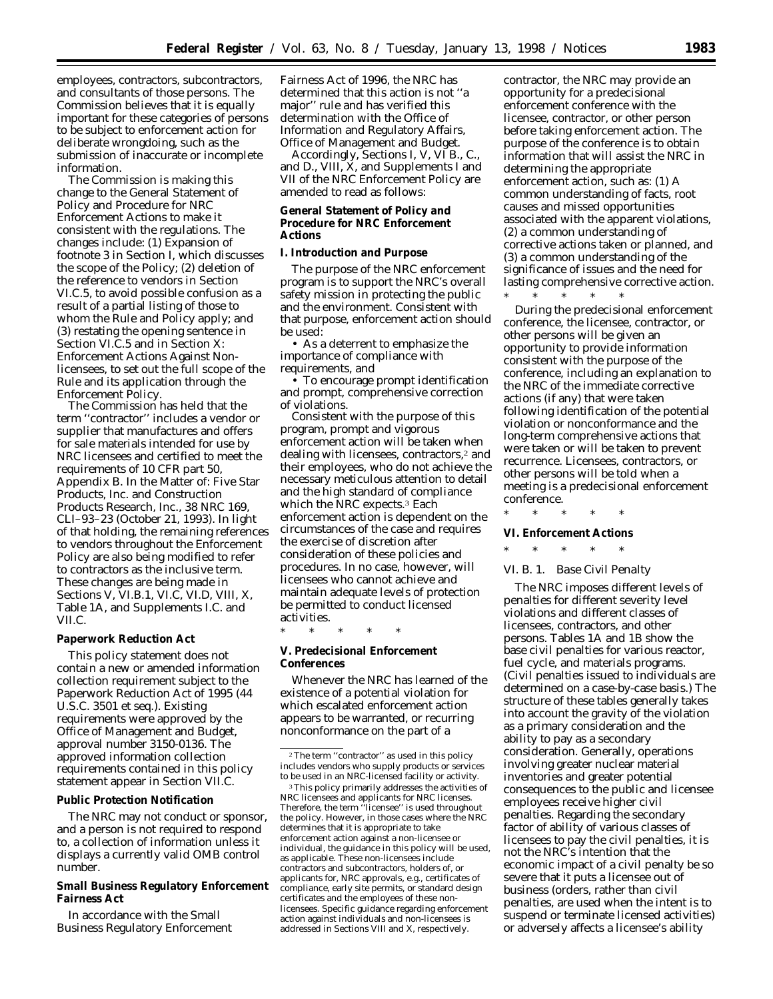employees, contractors, subcontractors, and consultants of those persons. The Commission believes that it is equally important for these categories of persons to be subject to enforcement action for deliberate wrongdoing, such as the submission of inaccurate or incomplete information.

The Commission is making this change to the General Statement of Policy and Procedure for NRC Enforcement Actions to make it consistent with the regulations. The changes include: (1) Expansion of footnote 3 in Section I, which discusses the scope of the Policy; (2) deletion of the reference to vendors in Section VI.C.5, to avoid possible confusion as a result of a partial listing of those to whom the Rule and Policy apply; and (3) restating the opening sentence in Section VI.C.5 and in Section X: Enforcement Actions Against Nonlicensees, to set out the full scope of the Rule and its application through the Enforcement Policy.

The Commission has held that the term ''contractor'' includes a vendor or supplier that manufactures and offers for sale materials intended for use by NRC licensees and certified to meet the requirements of 10 CFR part 50, Appendix B. In the Matter of: Five Star Products, Inc. and Construction Products Research, Inc., 38 NRC 169, CLI–93–23 (October 21, 1993). In light of that holding, the remaining references to vendors throughout the Enforcement Policy are also being modified to refer to contractors as the inclusive term. These changes are being made in Sections V, VI.B.1, VI.C, VI.D, VIII, X, Table 1A, and Supplements I.C. and VII.C.

#### **Paperwork Reduction Act**

This policy statement does not contain a new or amended information collection requirement subject to the Paperwork Reduction Act of 1995 (44 U.S.C. 3501 et seq.). Existing requirements were approved by the Office of Management and Budget, approval number 3150-0136. The approved information collection requirements contained in this policy statement appear in Section VII.C.

#### **Public Protection Notification**

The NRC may not conduct or sponsor, and a person is not required to respond to, a collection of information unless it displays a currently valid OMB control number.

#### **Small Business Regulatory Enforcement Fairness Act**

In accordance with the Small Business Regulatory Enforcement

Fairness Act of 1996, the NRC has determined that this action is not ''a major'' rule and has verified this determination with the Office of Information and Regulatory Affairs, Office of Management and Budget.

Accordingly, Sections I, V, VI B., C., and D., VIII, X, and Supplements I and VII of the NRC Enforcement Policy are amended to read as follows:

### **General Statement of Policy and Procedure for NRC Enforcement Actions**

#### **I. Introduction and Purpose**

The purpose of the NRC enforcement program is to support the NRC's overall safety mission in protecting the public and the environment. Consistent with that purpose, enforcement action should be used:

• As a deterrent to emphasize the importance of compliance with requirements, and

• To encourage prompt identification and prompt, comprehensive correction of violations.

Consistent with the purpose of this program, prompt and vigorous enforcement action will be taken when dealing with licensees, contractors,<sup>2</sup> and their employees, who do not achieve the necessary meticulous attention to detail and the high standard of compliance which the NRC expects.3 Each enforcement action is dependent on the circumstances of the case and requires the exercise of discretion after consideration of these policies and procedures. In no case, however, will licensees who cannot achieve and maintain adequate levels of protection be permitted to conduct licensed activities.

\* \* \* \* \*

#### **V. Predecisional Enforcement Conferences**

Whenever the NRC has learned of the existence of a potential violation for which escalated enforcement action appears to be warranted, or recurring nonconformance on the part of a

contractor, the NRC may provide an opportunity for a predecisional enforcement conference with the licensee, contractor, or other person before taking enforcement action. The purpose of the conference is to obtain information that will assist the NRC in determining the appropriate enforcement action, such as: (1) A common understanding of facts, root causes and missed opportunities associated with the apparent violations, (2) a common understanding of corrective actions taken or planned, and (3) a common understanding of the significance of issues and the need for lasting comprehensive corrective action.

\* \* \* \* \*

During the predecisional enforcement conference, the licensee, contractor, or other persons will be given an opportunity to provide information consistent with the purpose of the conference, including an explanation to the NRC of the immediate corrective actions (if any) that were taken following identification of the potential violation or nonconformance and the long-term comprehensive actions that were taken or will be taken to prevent recurrence. Licensees, contractors, or other persons will be told when a meeting is a predecisional enforcement conference.

\* \* \* \* \*

# **VI. Enforcement Actions**

\* \* \* \* \*

#### *VI. B. 1. Base Civil Penalty*

The NRC imposes different levels of penalties for different severity level violations and different classes of licensees, contractors, and other persons. Tables 1A and 1B show the base civil penalties for various reactor, fuel cycle, and materials programs. (Civil penalties issued to individuals are determined on a case-by-case basis.) The structure of these tables generally takes into account the gravity of the violation as a primary consideration and the ability to pay as a secondary consideration. Generally, operations involving greater nuclear material inventories and greater potential consequences to the public and licensee employees receive higher civil penalties. Regarding the secondary factor of ability of various classes of licensees to pay the civil penalties, it is not the NRC's intention that the economic impact of a civil penalty be so severe that it puts a licensee out of business (orders, rather than civil penalties, are used when the intent is to suspend or terminate licensed activities) or adversely affects a licensee's ability

<sup>2</sup>The term ''contractor'' as used in this policy includes vendors who supply products or services to be used in an NRC-licensed facility or activity.

<sup>&</sup>lt;sup>3</sup>This policy primarily addresses the activities of NRC licensees and applicants for NRC licenses. Therefore, the term ''licensee'' is used throughout the policy. However, in those cases where the NRC determines that it is appropriate to take enforcement action against a non-licensee or individual, the guidance in this policy will be used, as applicable. These non-licensees include contractors and subcontractors, holders of, or applicants for, NRC approvals, e.g., certificates of compliance, early site permits, or standard design certificates and the employees of these nonlicensees. Specific guidance regarding enforcement action against individuals and non-licensees is addressed in Sections VIII and X, respectively.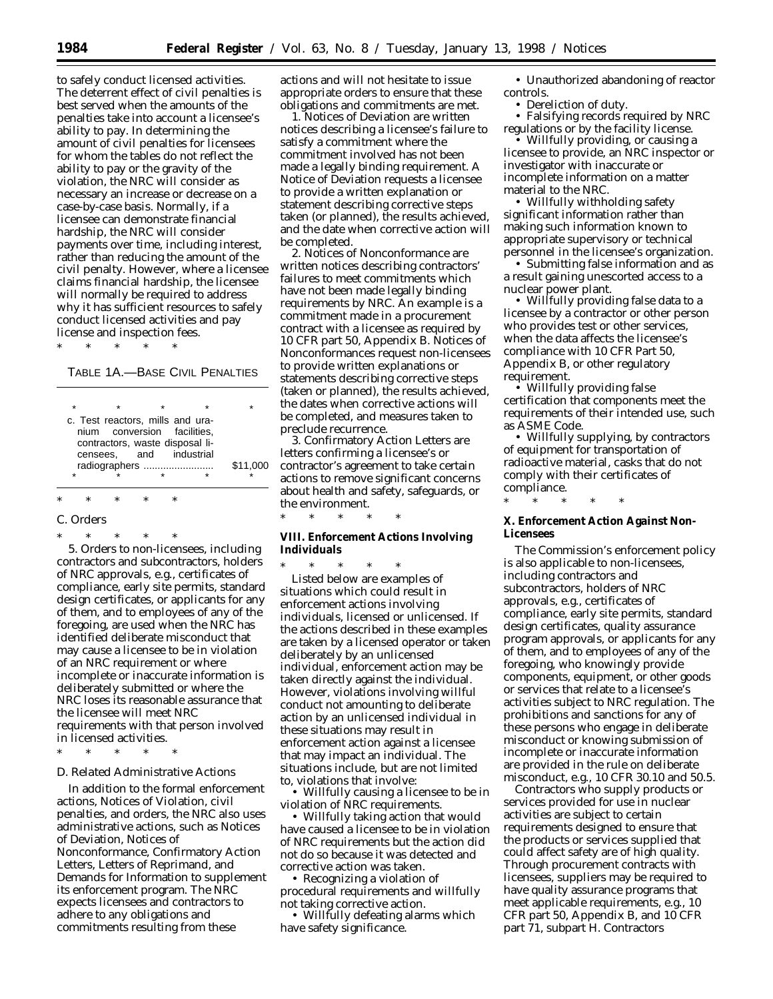to safely conduct licensed activities. The deterrent effect of civil penalties is best served when the amounts of the penalties take into account a licensee's ability to pay. In determining the amount of civil penalties for licensees for whom the tables do not reflect the ability to pay or the gravity of the violation, the NRC will consider as necessary an increase or decrease on a case-by-case basis. Normally, if a licensee can demonstrate financial hardship, the NRC will consider payments over time, including interest, rather than reducing the amount of the civil penalty. However, where a licensee claims financial hardship, the licensee will normally be required to address why it has sufficient resources to safely conduct licensed activities and pay license and inspection fees.

\* \* \* \* \*

TABLE 1A.—BASE CIVIL PENALTIES

|  | $\star$<br>c. Test reactors, mills and ura-<br>nium conversion facilities.<br>contractors, waste disposal li-<br>censees, and industrial<br>radiographers |  |  |  |  | \$11,000 |
|--|-----------------------------------------------------------------------------------------------------------------------------------------------------------|--|--|--|--|----------|
|  |                                                                                                                                                           |  |  |  |  |          |
|  |                                                                                                                                                           |  |  |  |  |          |

## *C. Orders*

\* \* \* \* \*

5. Orders to non-licensees, including contractors and subcontractors, holders of NRC approvals, e.g., certificates of compliance, early site permits, standard design certificates, or applicants for any of them, and to employees of any of the foregoing, are used when the NRC has identified deliberate misconduct that may cause a licensee to be in violation of an NRC requirement or where incomplete or inaccurate information is deliberately submitted or where the NRC loses its reasonable assurance that the licensee will meet NRC requirements with that person involved in licensed activities.

\* \* \* \* \*

#### *D. Related Administrative Actions*

In addition to the formal enforcement actions, Notices of Violation, civil penalties, and orders, the NRC also uses administrative actions, such as Notices of Deviation, Notices of Nonconformance, Confirmatory Action Letters, Letters of Reprimand, and Demands for Information to supplement its enforcement program. The NRC expects licensees and contractors to adhere to any obligations and commitments resulting from these

actions and will not hesitate to issue appropriate orders to ensure that these obligations and commitments are met.

1. Notices of Deviation are written notices describing a licensee's failure to satisfy a commitment where the commitment involved has not been made a legally binding requirement. A Notice of Deviation requests a licensee to provide a written explanation or statement describing corrective steps taken (or planned), the results achieved, and the date when corrective action will be completed.

2. Notices of Nonconformance are written notices describing contractors' failures to meet commitments which have not been made legally binding requirements by NRC. An example is a commitment made in a procurement contract with a licensee as required by 10 CFR part 50, Appendix B. Notices of Nonconformances request non-licensees to provide written explanations or statements describing corrective steps (taken or planned), the results achieved, the dates when corrective actions will be completed, and measures taken to preclude recurrence.

3. Confirmatory Action Letters are letters confirming a licensee's or contractor's agreement to take certain actions to remove significant concerns about health and safety, safeguards, or the environment.

## **VIII. Enforcement Actions Involving Individuals**

\* \* \* \* \*

\* \* \* \* \* Listed below are examples of situations which could result in enforcement actions involving individuals, licensed or unlicensed. If the actions described in these examples are taken by a licensed operator or taken deliberately by an unlicensed individual, enforcement action may be taken directly against the individual. However, violations involving willful conduct not amounting to deliberate action by an unlicensed individual in these situations may result in enforcement action against a licensee that may impact an individual. The situations include, but are not limited to, violations that involve:

• Willfully causing a licensee to be in violation of NRC requirements.

• Willfully taking action that would have caused a licensee to be in violation of NRC requirements but the action did not do so because it was detected and corrective action was taken.

• Recognizing a violation of procedural requirements and willfully not taking corrective action.

• Willfully defeating alarms which have safety significance.

• Unauthorized abandoning of reactor controls.

• Dereliction of duty.

• Falsifying records required by NRC regulations or by the facility license.

• Willfully providing, or causing a licensee to provide, an NRC inspector or investigator with inaccurate or incomplete information on a matter material to the NRC.

• Willfully withholding safety significant information rather than making such information known to appropriate supervisory or technical personnel in the licensee's organization.

• Submitting false information and as a result gaining unescorted access to a nuclear power plant.

• Willfully providing false data to a licensee by a contractor or other person who provides test or other services, when the data affects the licensee's compliance with 10 CFR Part 50, Appendix B, or other regulatory requirement.

• Willfully providing false certification that components meet the requirements of their intended use, such as ASME Code.

• Willfully supplying, by contractors of equipment for transportation of radioactive material, casks that do not comply with their certificates of compliance.

\* \* \* \* \*

#### **X. Enforcement Action Against Non-Licensees**

The Commission's enforcement policy is also applicable to non-licensees, including contractors and subcontractors, holders of NRC approvals, e.g., certificates of compliance, early site permits, standard design certificates, quality assurance program approvals, or applicants for any of them, and to employees of any of the foregoing, who knowingly provide components, equipment, or other goods or services that relate to a licensee's activities subject to NRC regulation. The prohibitions and sanctions for any of these persons who engage in deliberate misconduct or knowing submission of incomplete or inaccurate information are provided in the rule on deliberate misconduct, e.g., 10 CFR 30.10 and 50.5.

Contractors who supply products or services provided for use in nuclear activities are subject to certain requirements designed to ensure that the products or services supplied that could affect safety are of high quality. Through procurement contracts with licensees, suppliers may be required to have quality assurance programs that meet applicable requirements, e.g., 10 CFR part 50, Appendix B, and 10 CFR part 71, subpart H. Contractors